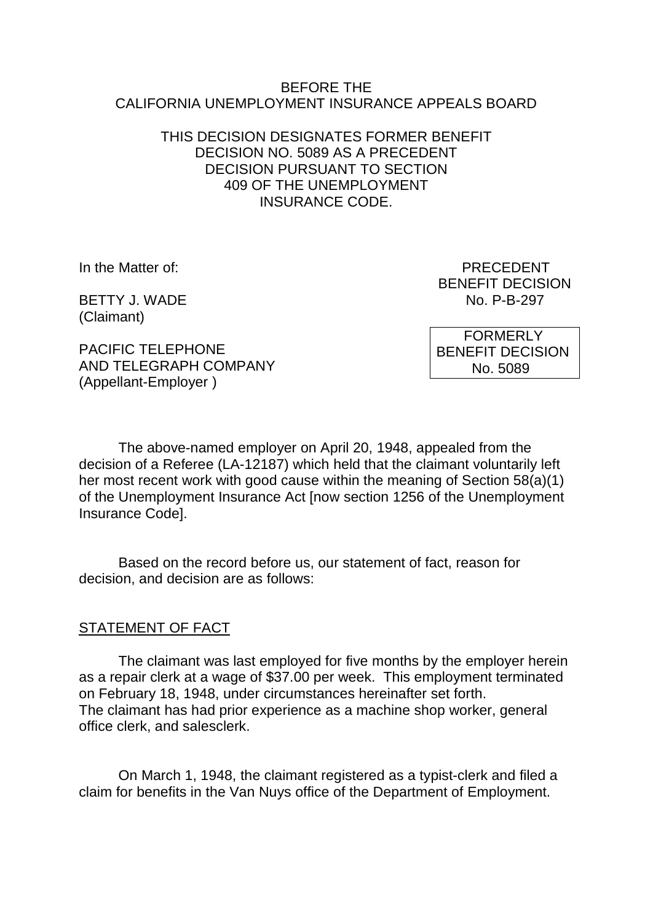#### BEFORE THE CALIFORNIA UNEMPLOYMENT INSURANCE APPEALS BOARD

### THIS DECISION DESIGNATES FORMER BENEFIT DECISION NO. 5089 AS A PRECEDENT DECISION PURSUANT TO SECTION 409 OF THE UNEMPLOYMENT INSURANCE CODE.

(Claimant)

PACIFIC TELEPHONE AND TELEGRAPH COMPANY (Appellant-Employer )

In the Matter of: PRECEDENT BENEFIT DECISION BETTY J. WADE No. P-B-297

> FORMERLY BENEFIT DECISION No. 5089

The above-named employer on April 20, 1948, appealed from the decision of a Referee (LA-12187) which held that the claimant voluntarily left her most recent work with good cause within the meaning of Section 58(a)(1) of the Unemployment Insurance Act [now section 1256 of the Unemployment Insurance Code].

Based on the record before us, our statement of fact, reason for decision, and decision are as follows:

### STATEMENT OF FACT

The claimant was last employed for five months by the employer herein as a repair clerk at a wage of \$37.00 per week. This employment terminated on February 18, 1948, under circumstances hereinafter set forth. The claimant has had prior experience as a machine shop worker, general office clerk, and salesclerk.

On March 1, 1948, the claimant registered as a typist-clerk and filed a claim for benefits in the Van Nuys office of the Department of Employment.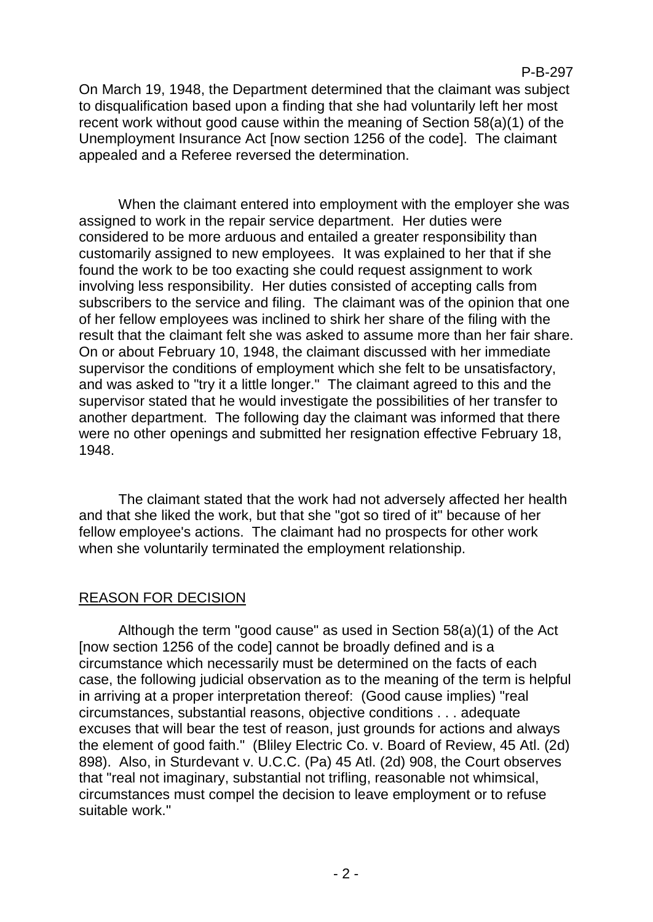### P-B-297

On March 19, 1948, the Department determined that the claimant was subject to disqualification based upon a finding that she had voluntarily left her most recent work without good cause within the meaning of Section 58(a)(1) of the Unemployment Insurance Act [now section 1256 of the code]. The claimant appealed and a Referee reversed the determination.

When the claimant entered into employment with the employer she was assigned to work in the repair service department. Her duties were considered to be more arduous and entailed a greater responsibility than customarily assigned to new employees. It was explained to her that if she found the work to be too exacting she could request assignment to work involving less responsibility. Her duties consisted of accepting calls from subscribers to the service and filing. The claimant was of the opinion that one of her fellow employees was inclined to shirk her share of the filing with the result that the claimant felt she was asked to assume more than her fair share. On or about February 10, 1948, the claimant discussed with her immediate supervisor the conditions of employment which she felt to be unsatisfactory, and was asked to "try it a little longer." The claimant agreed to this and the supervisor stated that he would investigate the possibilities of her transfer to another department. The following day the claimant was informed that there were no other openings and submitted her resignation effective February 18, 1948.

The claimant stated that the work had not adversely affected her health and that she liked the work, but that she "got so tired of it" because of her fellow employee's actions. The claimant had no prospects for other work when she voluntarily terminated the employment relationship.

# REASON FOR DECISION

Although the term "good cause" as used in Section 58(a)(1) of the Act [now section 1256 of the code] cannot be broadly defined and is a circumstance which necessarily must be determined on the facts of each case, the following judicial observation as to the meaning of the term is helpful in arriving at a proper interpretation thereof: (Good cause implies) "real circumstances, substantial reasons, objective conditions . . . adequate excuses that will bear the test of reason, just grounds for actions and always the element of good faith." (Bliley Electric Co. v. Board of Review, 45 Atl. (2d) 898). Also, in Sturdevant v. U.C.C. (Pa) 45 Atl. (2d) 908, the Court observes that "real not imaginary, substantial not trifling, reasonable not whimsical, circumstances must compel the decision to leave employment or to refuse suitable work."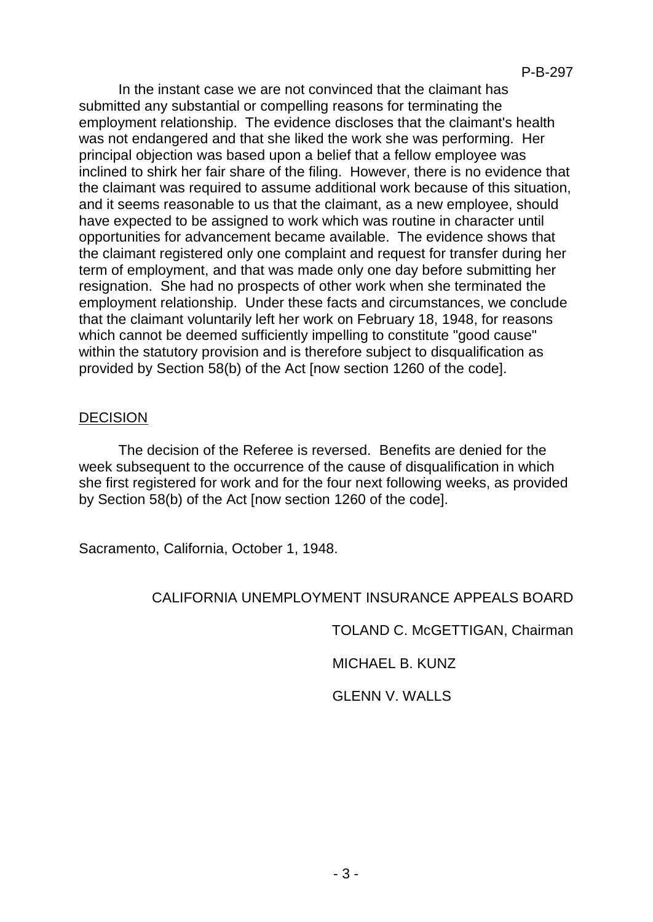In the instant case we are not convinced that the claimant has submitted any substantial or compelling reasons for terminating the employment relationship. The evidence discloses that the claimant's health was not endangered and that she liked the work she was performing. Her principal objection was based upon a belief that a fellow employee was inclined to shirk her fair share of the filing. However, there is no evidence that the claimant was required to assume additional work because of this situation, and it seems reasonable to us that the claimant, as a new employee, should have expected to be assigned to work which was routine in character until opportunities for advancement became available. The evidence shows that the claimant registered only one complaint and request for transfer during her term of employment, and that was made only one day before submitting her resignation. She had no prospects of other work when she terminated the employment relationship. Under these facts and circumstances, we conclude that the claimant voluntarily left her work on February 18, 1948, for reasons which cannot be deemed sufficiently impelling to constitute "good cause" within the statutory provision and is therefore subject to disqualification as provided by Section 58(b) of the Act [now section 1260 of the code].

## **DECISION**

The decision of the Referee is reversed. Benefits are denied for the week subsequent to the occurrence of the cause of disqualification in which she first registered for work and for the four next following weeks, as provided by Section 58(b) of the Act [now section 1260 of the code].

Sacramento, California, October 1, 1948.

# CALIFORNIA UNEMPLOYMENT INSURANCE APPEALS BOARD

TOLAND C. McGETTIGAN, Chairman

MICHAEL B. KUNZ

GLENN V. WALLS